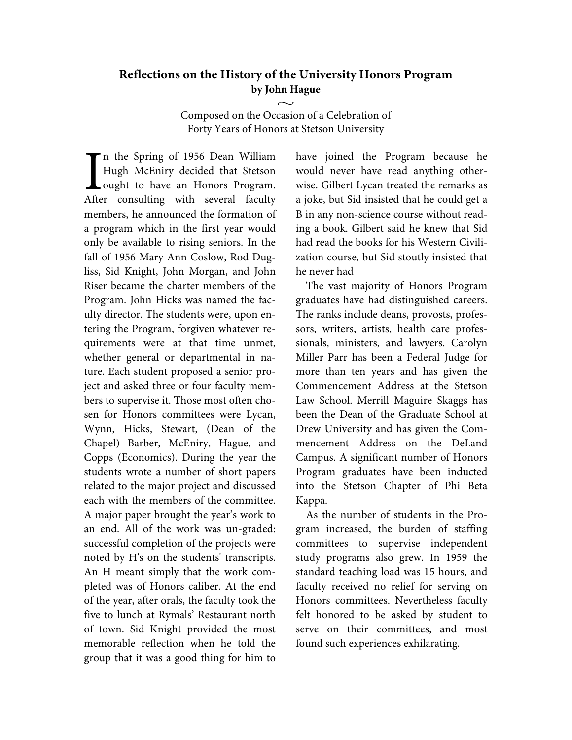## **Reflections on the History of the University Honors Program by John Hague**

Composed on the Occasion of a Celebration of Forty Years of Honors at Stetson University

 $\sim$ 

n the Spring of 1956 Dean William Hugh McEniry decided that Stetson ought to have an Honors Program. After consulting with several faculty members, he announced the formation of a program which in the first year would only be available to rising seniors. In the fall of 1956 Mary Ann Coslow, Rod Dugliss, Sid Knight, John Morgan, and John Riser became the charter members of the Program. John Hicks was named the faculty director. The students were, upon entering the Program, forgiven whatever requirements were at that time unmet, whether general or departmental in nature. Each student proposed a senior project and asked three or four faculty members to supervise it. Those most often chosen for Honors committees were Lycan, Wynn, Hicks, Stewart, (Dean of the Chapel) Barber, McEniry, Hague, and Copps (Economics). During the year the students wrote a number of short papers related to the major project and discussed each with the members of the committee. A major paper brought the year's work to an end. All of the work was un-graded: successful completion of the projects were noted by H's on the students' transcripts. An H meant simply that the work completed was of Honors caliber. At the end of the year, after orals, the faculty took the five to lunch at Rymals' Restaurant north of town. Sid Knight provided the most memorable reflection when he told the group that it was a good thing for him to I<br>Afte

have joined the Program because he would never have read anything otherwise. Gilbert Lycan treated the remarks as a joke, but Sid insisted that he could get a B in any non-science course without reading a book. Gilbert said he knew that Sid had read the books for his Western Civilization course, but Sid stoutly insisted that he never had

The vast majority of Honors Program graduates have had distinguished careers. The ranks include deans, provosts, professors, writers, artists, health care professionals, ministers, and lawyers. Carolyn Miller Parr has been a Federal Judge for more than ten years and has given the Commencement Address at the Stetson Law School. Merrill Maguire Skaggs has been the Dean of the Graduate School at Drew University and has given the Commencement Address on the DeLand Campus. A significant number of Honors Program graduates have been inducted into the Stetson Chapter of Phi Beta Kappa.

As the number of students in the Program increased, the burden of staffing committees to supervise independent study programs also grew. In 1959 the standard teaching load was 15 hours, and faculty received no relief for serving on Honors committees. Nevertheless faculty felt honored to be asked by student to serve on their committees, and most found such experiences exhilarating.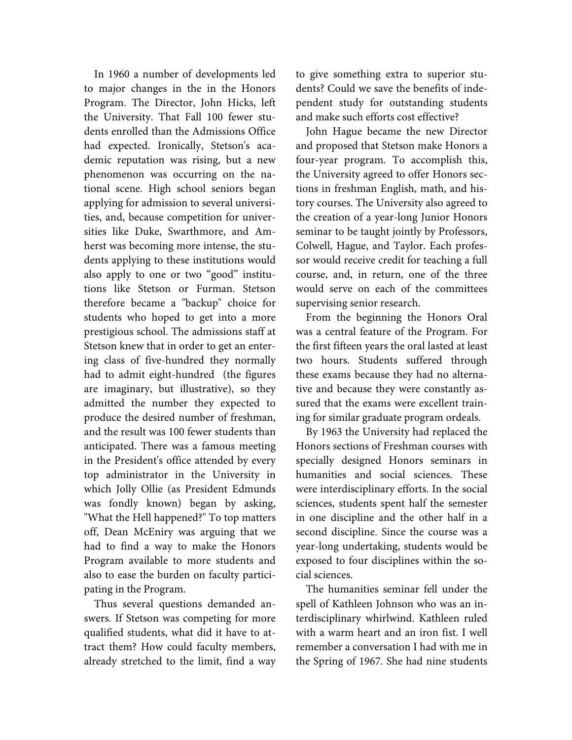In 1960 a number of developments led to major changes in the in the Honors Program. The Director, John Hicks, left the University. That Fall 100 fewer students enrolled than the Admissions Office had expected. Ironically, Stetson's academic reputation was rising, but a new phenomenon was occurring on the national scene. High school seniors began applying for admission to several universities, and, because competition for universities like Duke, Swarthmore, and Amherst was becoming more intense, the students applying to these institutions would also apply to one or two "good" institutions like Stetson or Furman. Stetson therefore became a "backup" choice for students who hoped to get into a more prestigious school. The admissions staff at Stetson knew that in order to get an entering class of five-hundred they normally had to admit eight-hundred (the figures are imaginary, but illustrative), so they admitted the number they expected to produce the desired number of freshman, and the result was 100 fewer students than anticipated. There was a famous meeting in the President's office attended by every top administrator in the University in which Jolly Ollie (as President Edmunds was fondly known) began by asking, "What the Hell happened?" To top matters off, Dean McEniry was arguing that we had to find a way to make the Honors Program available to more students and also to ease the burden on faculty participating in the Program.

Thus several questions demanded answers. If Stetson was competing for more qualified students, what did it have to attract them? How could faculty members, already stretched to the limit, find a way to give something extra to superior students? Could we save the benefits of independent study for outstanding students and make such efforts cost effective?

John Hague became the new Director and proposed that Stetson make Honors a four-year program. To accomplish this, the University agreed to offer Honors sections in freshman English, math, and history courses. The University also agreed to the creation of a year-long Junior Honors seminar to be taught jointly by Professors, Colwell, Hague, and Taylor. Each professor would receive credit for teaching a full course, and, in return, one of the three would serve on each of the committees supervising senior research.

From the beginning the Honors Oral was a central feature of the Program. For the first fifteen years the oral lasted at least two hours. Students suffered through these exams because they had no alternative and because they were constantly assured that the exams were excellent training for similar graduate program ordeals.

By 1963 the University had replaced the Honors sections of Freshman courses with specially designed Honors seminars in humanities and social sciences. These were interdisciplinary efforts. In the social sciences, students spent half the semester in one discipline and the other half in a second discipline. Since the course was a year-long undertaking, students would be exposed to four disciplines within the social sciences.

The humanities seminar fell under the spell of Kathleen Johnson who was an interdisciplinary whirlwind. Kathleen ruled with a warm heart and an iron fist. I well remember a conversation I had with me in the Spring of 1967. She had nine students